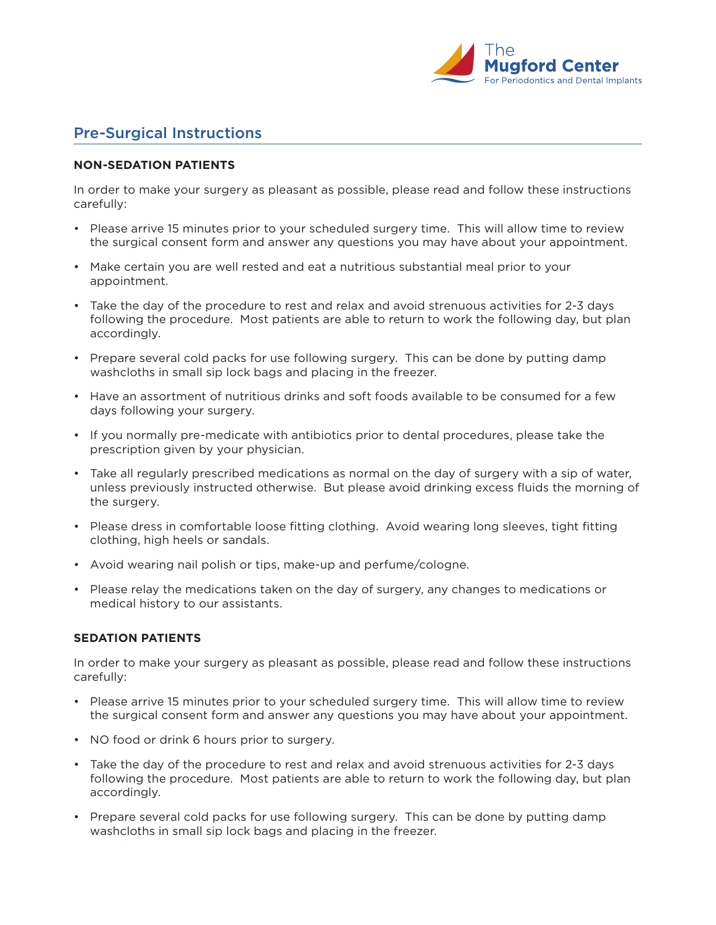

## Pre-Surgical Instructions

## **NON-SEDATION PATIENTS**

In order to make your surgery as pleasant as possible, please read and follow these instructions carefully:

- Please arrive 15 minutes prior to your scheduled surgery time. This will allow time to review the surgical consent form and answer any questions you may have about your appointment.
- Make certain you are well rested and eat a nutritious substantial meal prior to your appointment.
- Take the day of the procedure to rest and relax and avoid strenuous activities for 2-3 days following the procedure. Most patients are able to return to work the following day, but plan accordingly.
- Prepare several cold packs for use following surgery. This can be done by putting damp washcloths in small sip lock bags and placing in the freezer.
- Have an assortment of nutritious drinks and soft foods available to be consumed for a few days following your surgery.
- If you normally pre-medicate with antibiotics prior to dental procedures, please take the prescription given by your physician.
- Take all regularly prescribed medications as normal on the day of surgery with a sip of water, unless previously instructed otherwise. But please avoid drinking excess fluids the morning of the surgery.
- Please dress in comfortable loose fitting clothing. Avoid wearing long sleeves, tight fitting clothing, high heels or sandals.
- Avoid wearing nail polish or tips, make-up and perfume/cologne.
- Please relay the medications taken on the day of surgery, any changes to medications or medical history to our assistants.

## **SEDATION PATIENTS**

In order to make your surgery as pleasant as possible, please read and follow these instructions carefully:

- Please arrive 15 minutes prior to your scheduled surgery time. This will allow time to review the surgical consent form and answer any questions you may have about your appointment.
- NO food or drink 6 hours prior to surgery.
- Take the day of the procedure to rest and relax and avoid strenuous activities for 2-3 days following the procedure. Most patients are able to return to work the following day, but plan accordingly.
- Prepare several cold packs for use following surgery. This can be done by putting damp washcloths in small sip lock bags and placing in the freezer.